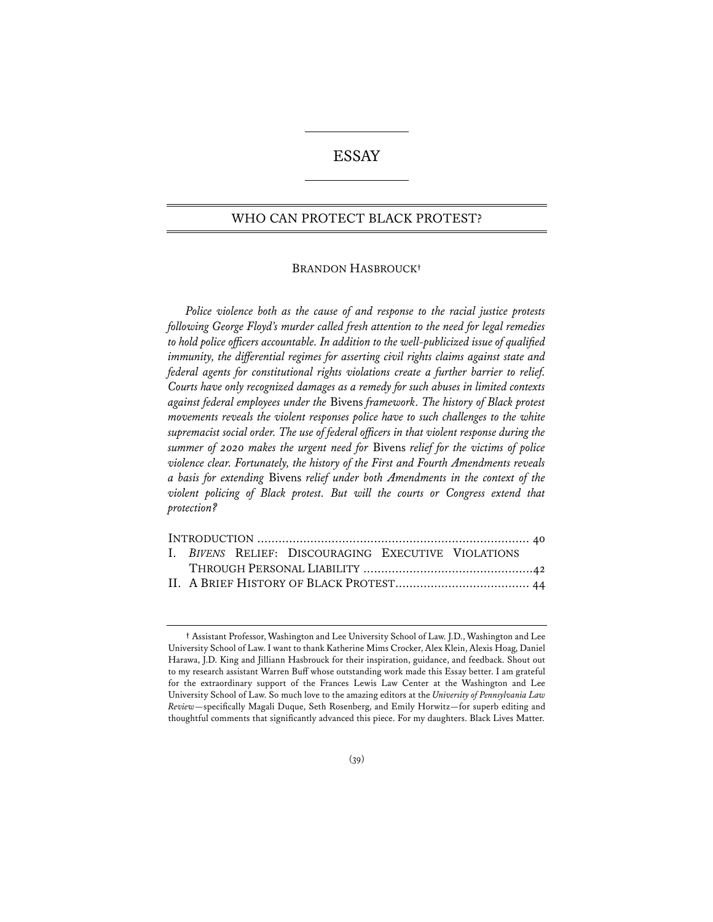# ESSAY

# WHO CAN PROTECT BLACK PROTEST?

#### BRANDON HASBROUCK**†**

*Police violence both as the cause of and response to the racial justice protests following George Floyd's murder called fresh attention to the need for legal remedies to hold police officers accountable. In addition to the well-publicized issue of qualifed immunity, the differential regimes for asserting civil rights claims against state and federal agents for constitutional rights violations create a further barrier to relief. Courts have only recognized damages as a remedy for such abuses in limited contexts against federal employees under the* Bivens *framework. The history of Black protest movements reveals the violent responses police have to such challenges to the white supremacist social order. The use of federal officers in that violent response during the summer of 2020 makes the urgent need for* Bivens *relief for the victims of police violence clear. Fortunately, the history of the First and Fourth Amendments reveals a basis for extending* Bivens *relief under both Amendments in the context of the violent policing of Black protest. But will the courts or Congress extend that protection?*

|  |  |  | I. BIVENS RELIEF: DISCOURAGING EXECUTIVE VIOLATIONS |  |  |  |  |  |  |  |  |  |
|--|--|--|-----------------------------------------------------|--|--|--|--|--|--|--|--|--|
|  |  |  |                                                     |  |  |  |  |  |  |  |  |  |
|  |  |  |                                                     |  |  |  |  |  |  |  |  |  |
|  |  |  |                                                     |  |  |  |  |  |  |  |  |  |

**<sup>†</sup>** Assistant Professor, Washington and Lee University School of Law. J.D., Washington and Lee University School of Law. I want to thank Katherine Mims Crocker, Alex Klein, Alexis Hoag, Daniel Harawa, J.D. King and Jilliann Hasbrouck for their inspiration, guidance, and feedback. Shout out to my research assistant Warren Buff whose outstanding work made this Essay better. I am grateful for the extraordinary support of the Frances Lewis Law Center at the Washington and Lee University School of Law. So much love to the amazing editors at the *University of Pennsylvania Law Review*—specifically Magali Duque, Seth Rosenberg, and Emily Horwitz—for superb editing and thoughtful comments that significantly advanced this piece. For my daughters. Black Lives Matter.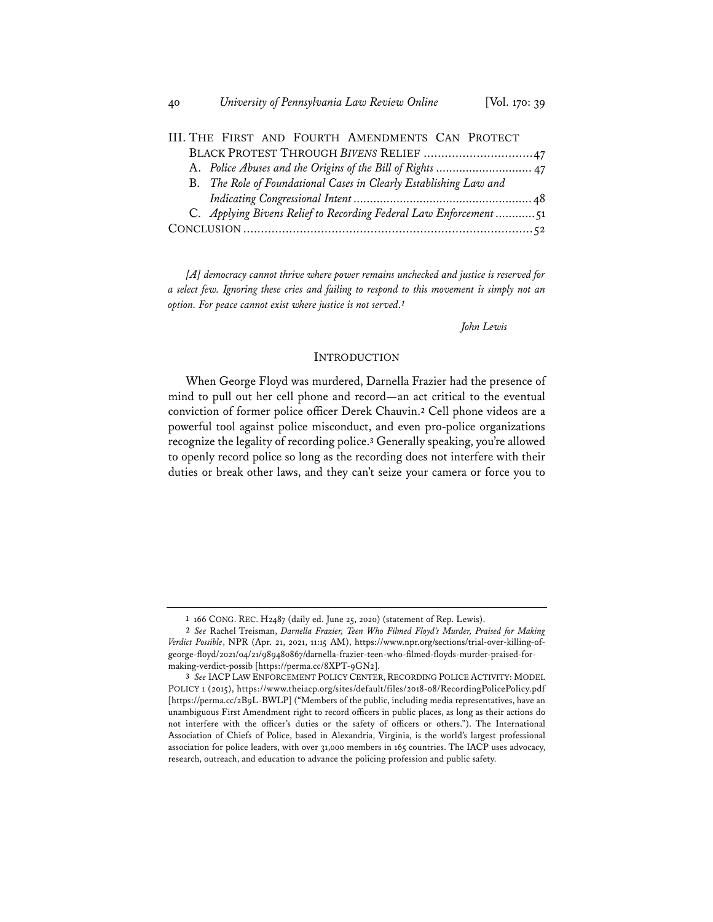|                                                                   |  |  | III. THE FIRST AND FOURTH AMENDMENTS CAN PROTECT                  |  |  |  |  |  |  |
|-------------------------------------------------------------------|--|--|-------------------------------------------------------------------|--|--|--|--|--|--|
| BLACK PROTEST THROUGH BIVENS RELIEF 47                            |  |  |                                                                   |  |  |  |  |  |  |
|                                                                   |  |  |                                                                   |  |  |  |  |  |  |
| B. The Role of Foundational Cases in Clearly Establishing Law and |  |  |                                                                   |  |  |  |  |  |  |
|                                                                   |  |  |                                                                   |  |  |  |  |  |  |
|                                                                   |  |  | C. Applying Bivens Relief to Recording Federal Law Enforcement 51 |  |  |  |  |  |  |
|                                                                   |  |  |                                                                   |  |  |  |  |  |  |
|                                                                   |  |  |                                                                   |  |  |  |  |  |  |

*[A] democracy cannot thrive where power remains unchecked and justice is reserved for a select few. Ignoring these cries and failing to respond to this movement is simply not an option. For peace cannot exist where justice is not served.<sup>1</sup>*

*John Lewis*

## INTRODUCTION

When George Floyd was murdered, Darnella Frazier had the presence of mind to pull out her cell phone and record—an act critical to the eventual conviction of former police officer Derek Chauvin.**<sup>2</sup>** Cell phone videos are a powerful tool against police misconduct, and even pro-police organizations recognize the legality of recording police.**<sup>3</sup>** Generally speaking, you're allowed to openly record police so long as the recording does not interfere with their duties or break other laws, and they can't seize your camera or force you to

**<sup>1</sup>** 166 CONG. REC. H2487 (daily ed. June 25, 2020) (statement of Rep. Lewis).

**<sup>2</sup>** *See* Rachel Treisman, *Darnella Frazier, Teen Who Filmed Floyd's Murder, Praised for Making Verdict Possible*, NPR (Apr. 21, 2021, 11:15 AM), https://www.npr.org/sections/trial-over-killing-ofgeorge-floyd/2021/04/21/989480867/darnella-frazier-teen-who-filmed-floyds-murder-praised-formaking-verdict-possib [https://perma.cc/8XPT-9GN2].

**<sup>3</sup>** *See* IACP LAW ENFORCEMENT POLICY CENTER, RECORDING POLICE ACTIVITY: MODEL POLICY 1 (2015), https://www.theiacp.org/sites/default/files/2018-08/RecordingPolicePolicy.pdf [https://perma.cc/2B9L-BWLP] ("Members of the public, including media representatives, have an unambiguous First Amendment right to record officers in public places, as long as their actions do not interfere with the officer's duties or the safety of officers or others."). The International Association of Chiefs of Police, based in Alexandria, Virginia, is the world's largest professional association for police leaders, with over 31,000 members in 165 countries. The IACP uses advocacy, research, outreach, and education to advance the policing profession and public safety.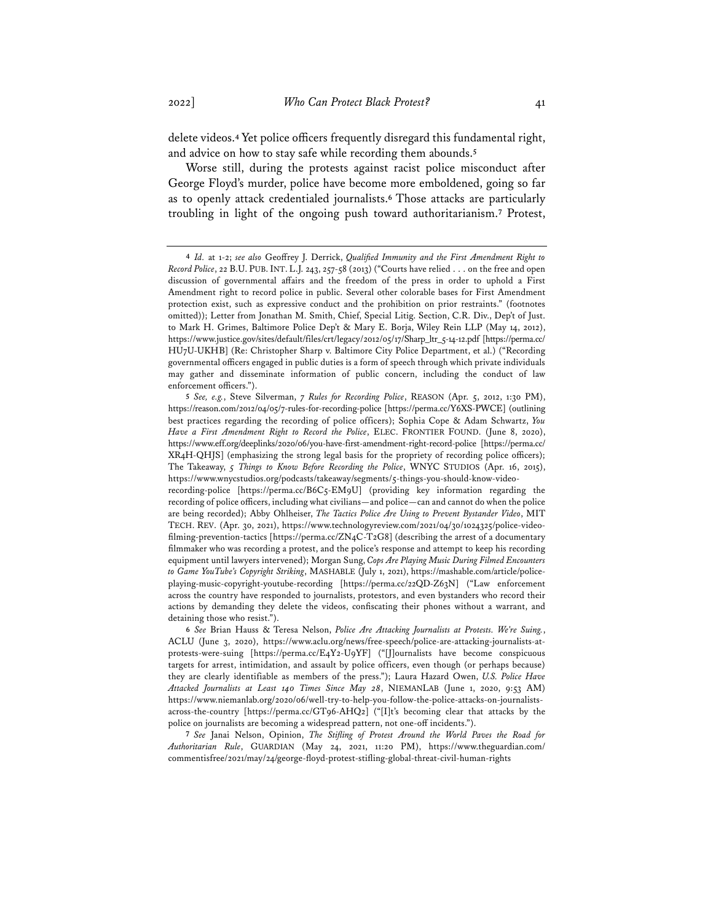delete videos.**<sup>4</sup>** Yet police officers frequently disregard this fundamental right, and advice on how to stay safe while recording them abounds.**<sup>5</sup>**

Worse still, during the protests against racist police misconduct after George Floyd's murder, police have become more emboldened, going so far as to openly attack credentialed journalists.**<sup>6</sup>** Those attacks are particularly troubling in light of the ongoing push toward authoritarianism.**<sup>7</sup>** Protest,

**5** *See, e.g.*, Steve Silverman, *7 Rules for Recording Police*, REASON (Apr. 5, 2012, 1:30 PM), https://reason.com/2012/04/05/7-rules-for-recording-police [https://perma.cc/Y6XS-PWCE] (outlining best practices regarding the recording of police officers); Sophia Cope & Adam Schwartz, *You Have a First Amendment Right to Record the Police*, ELEC. FRONTIER FOUND. (June 8, 2020), https://www.eff.org/deeplinks/2020/06/you-have-first-amendment-right-record-police [https://perma.cc/ XR4H-QHJS] (emphasizing the strong legal basis for the propriety of recording police officers); The Takeaway, *5 Things to Know Before Recording the Police*, WNYC STUDIOS (Apr. 16, 2015), https://www.wnycstudios.org/podcasts/takeaway/segments/5-things-you-should-know-video-

**6** *See* Brian Hauss & Teresa Nelson, *Police Are Attacking Journalists at Protests. We're Suing.*, ACLU (June 3, 2020), https://www.aclu.org/news/free-speech/police-are-attacking-journalists-atprotests-were-suing [https://perma.cc/E4Y2-U9YF] ("[J]ournalists have become conspicuous targets for arrest, intimidation, and assault by police officers, even though (or perhaps because) they are clearly identifiable as members of the press."); Laura Hazard Owen, *U.S. Police Have Attacked Journalists at Least 140 Times Since May 28*, NIEMANLAB (June 1, 2020, 9:53 AM) https://www.niemanlab.org/2020/06/well-try-to-help-you-follow-the-police-attacks-on-journalistsacross-the-country [https://perma.cc/GT96-AHQ2] ("[I]t's becoming clear that attacks by the police on journalists are becoming a widespread pattern, not one-off incidents.").

**7** *See* Janai Nelson, Opinion, *The Stifing of Protest Around the World Paves the Road for Authoritarian Rule*, GUARDIAN (May 24, 2021, 11:20 PM), https://www.theguardian.com/ commentisfree/2021/may/24/george-floyd-protest-stifling-global-threat-civil-human-rights

**<sup>4</sup>** *Id.* at 1-2; *see also* Geoffrey J. Derrick, *Qualifed Immunity and the First Amendment Right to Record Police*, 22 B.U. PUB. INT. L.J. 243, 257-58 (2013) ("Courts have relied . . . on the free and open discussion of governmental affairs and the freedom of the press in order to uphold a First Amendment right to record police in public. Several other colorable bases for First Amendment protection exist, such as expressive conduct and the prohibition on prior restraints." (footnotes omitted)); Letter from Jonathan M. Smith, Chief, Special Litig. Section, C.R. Div., Dep't of Just. to Mark H. Grimes, Baltimore Police Dep't & Mary E. Borja, Wiley Rein LLP (May 14, 2012), https://www.justice.gov/sites/default/files/crt/legacy/2012/05/17/Sharp\_ltr\_5-14-12.pdf [https://perma.cc/ HU7U-UKHB] (Re: Christopher Sharp v. Baltimore City Police Department, et al.) ("Recording governmental officers engaged in public duties is a form of speech through which private individuals may gather and disseminate information of public concern, including the conduct of law enforcement officers.").

recording-police [https://perma.cc/B6C5-EM9U] (providing key information regarding the recording of police officers, including what civilians—and police—can and cannot do when the police are being recorded); Abby Ohlheiser, *The Tactics Police Are Using to Prevent Bystander Video*, MIT TECH. REV. (Apr. 30, 2021), https://www.technologyreview.com/2021/04/30/1024325/police-videofilming-prevention-tactics [https://perma.cc/ZN4C-T2G8] (describing the arrest of a documentary filmmaker who was recording a protest, and the police's response and attempt to keep his recording equipment until lawyers intervened); Morgan Sung, *Cops Are Playing Music During Filmed Encounters to Game YouTube's Copyright Striking*, MASHABLE (July 1, 2021), https://mashable.com/article/policeplaying-music-copyright-youtube-recording [https://perma.cc/22QD-Z63N] ("Law enforcement across the country have responded to journalists, protestors, and even bystanders who record their actions by demanding they delete the videos, confiscating their phones without a warrant, and detaining those who resist.").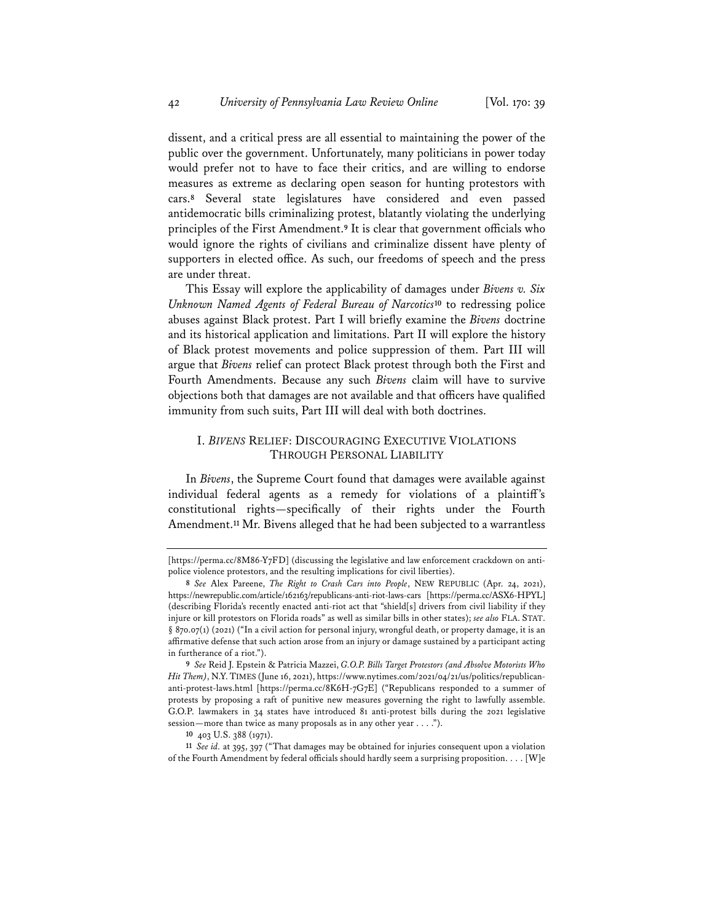dissent, and a critical press are all essential to maintaining the power of the public over the government. Unfortunately, many politicians in power today would prefer not to have to face their critics, and are willing to endorse measures as extreme as declaring open season for hunting protestors with cars.**<sup>8</sup>** Several state legislatures have considered and even passed antidemocratic bills criminalizing protest, blatantly violating the underlying principles of the First Amendment.**<sup>9</sup>** It is clear that government officials who would ignore the rights of civilians and criminalize dissent have plenty of supporters in elected office. As such, our freedoms of speech and the press are under threat.

This Essay will explore the applicability of damages under *Bivens v. Six Unknown Named Agents of Federal Bureau of Narcotics***<sup>10</sup>** to redressing police abuses against Black protest. Part I will briefly examine the *Bivens* doctrine and its historical application and limitations. Part II will explore the history of Black protest movements and police suppression of them. Part III will argue that *Bivens* relief can protect Black protest through both the First and Fourth Amendments. Because any such *Bivens* claim will have to survive objections both that damages are not available and that officers have qualified immunity from such suits, Part III will deal with both doctrines.

## I. *BIVENS* RELIEF: DISCOURAGING EXECUTIVE VIOLATIONS THROUGH PERSONAL LIABILITY

In *Bivens*, the Supreme Court found that damages were available against individual federal agents as a remedy for violations of a plaintiff's constitutional rights—specifically of their rights under the Fourth Amendment.**<sup>11</sup>** Mr. Bivens alleged that he had been subjected to a warrantless

<sup>[</sup>https://perma.cc/8M86-Y7FD] (discussing the legislative and law enforcement crackdown on antipolice violence protestors, and the resulting implications for civil liberties).

**<sup>8</sup>** *See* Alex Pareene, *The Right to Crash Cars into People*, NEW REPUBLIC (Apr. 24, 2021), https://newrepublic.com/article/162163/republicans-anti-riot-laws-cars [https://perma.cc/ASX6-HPYL] (describing Florida's recently enacted anti-riot act that "shield[s] drivers from civil liability if they injure or kill protestors on Florida roads" as well as similar bills in other states); *see also* FLA. STAT. § 870.07(1) (2021) ("In a civil action for personal injury, wrongful death, or property damage, it is an affirmative defense that such action arose from an injury or damage sustained by a participant acting in furtherance of a riot.").

**<sup>9</sup>** *See* Reid J. Epstein & Patricia Mazzei, *G.O.P. Bills Target Protestors (and Absolve Motorists Who Hit Them)*, N.Y. TIMES (June 16, 2021), https://www.nytimes.com/2021/04/21/us/politics/republicananti-protest-laws.html [https://perma.cc/8K6H-7G7E] ("Republicans responded to a summer of protests by proposing a raft of punitive new measures governing the right to lawfully assemble. G.O.P. lawmakers in 34 states have introduced 81 anti-protest bills during the 2021 legislative session—more than twice as many proposals as in any other year . . . .").

**<sup>10</sup>** 403 U.S. 388 (1971).

**<sup>11</sup>** *See id.* at 395, 397 ("That damages may be obtained for injuries consequent upon a violation of the Fourth Amendment by federal officials should hardly seem a surprising proposition. . . . [W]e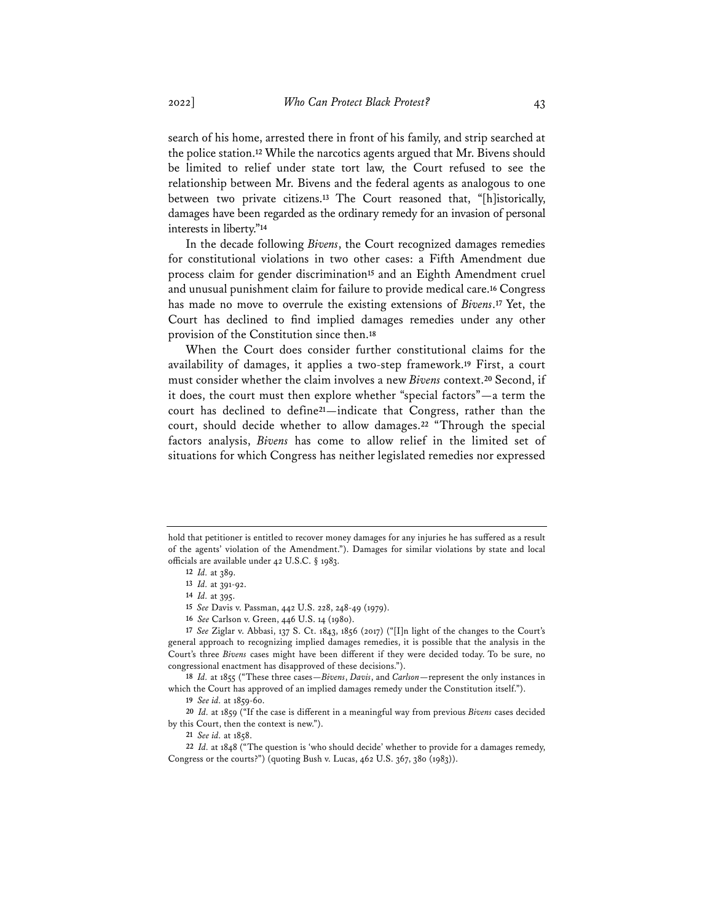search of his home, arrested there in front of his family, and strip searched at the police station.**<sup>12</sup>** While the narcotics agents argued that Mr. Bivens should be limited to relief under state tort law, the Court refused to see the relationship between Mr. Bivens and the federal agents as analogous to one between two private citizens.**<sup>13</sup>** The Court reasoned that, "[h]istorically, damages have been regarded as the ordinary remedy for an invasion of personal interests in liberty."**<sup>14</sup>**

In the decade following *Bivens*, the Court recognized damages remedies for constitutional violations in two other cases: a Fifth Amendment due process claim for gender discrimination**<sup>15</sup>** and an Eighth Amendment cruel and unusual punishment claim for failure to provide medical care.**<sup>16</sup>** Congress has made no move to overrule the existing extensions of *Bivens*.**<sup>17</sup>** Yet, the Court has declined to find implied damages remedies under any other provision of the Constitution since then.**<sup>18</sup>**

When the Court does consider further constitutional claims for the availability of damages, it applies a two-step framework.**<sup>19</sup>** First, a court must consider whether the claim involves a new *Bivens* context.**<sup>20</sup>** Second, if it does, the court must then explore whether "special factors"—a term the court has declined to define**21**—indicate that Congress, rather than the court, should decide whether to allow damages.**<sup>22</sup>** "Through the special factors analysis, *Bivens* has come to allow relief in the limited set of situations for which Congress has neither legislated remedies nor expressed

hold that petitioner is entitled to recover money damages for any injuries he has suffered as a result of the agents' violation of the Amendment."). Damages for similar violations by state and local officials are available under 42 U.S.C. § 1983.

**<sup>12</sup>** *Id.* at 389.

**<sup>13</sup>** *Id.* at 391-92.

**<sup>14</sup>** *Id.* at 395.

**<sup>15</sup>** *See* Davis v. Passman, 442 U.S. 228, 248-49 (1979).

**<sup>16</sup>** *See* Carlson v. Green, 446 U.S. 14 (1980).

**<sup>17</sup>** *See* Ziglar v. Abbasi, 137 S. Ct. 1843, 1856 (2017) ("[I]n light of the changes to the Court's general approach to recognizing implied damages remedies, it is possible that the analysis in the Court's three *Bivens* cases might have been different if they were decided today. To be sure, no congressional enactment has disapproved of these decisions.").

**<sup>18</sup>** *Id.* at 1855 ("These three cases—*Bivens*, *Davis*, and *Carlson*—represent the only instances in which the Court has approved of an implied damages remedy under the Constitution itself.").

**<sup>19</sup>** *See id.* at 1859-60.

**<sup>20</sup>** *Id.* at 1859 ("If the case is different in a meaningful way from previous *Bivens* cases decided by this Court, then the context is new.").

**<sup>21</sup>** *See id.* at 1858.

**<sup>22</sup>** *Id.* at 1848 ("The question is 'who should decide' whether to provide for a damages remedy, Congress or the courts?") (quoting Bush v. Lucas, 462 U.S. 367, 380 (1983)).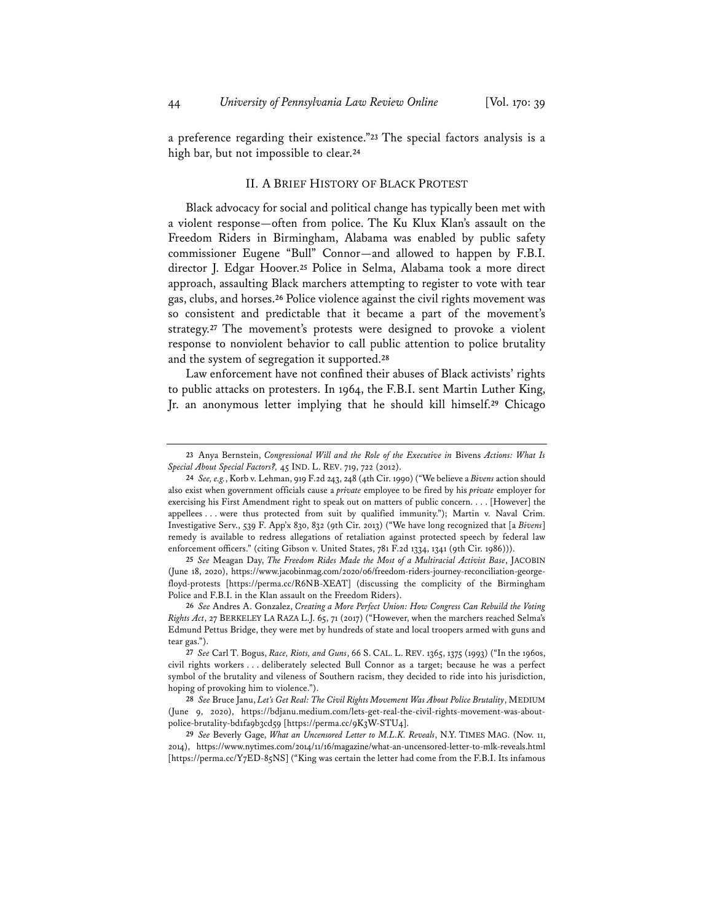a preference regarding their existence."**<sup>23</sup>** The special factors analysis is a high bar, but not impossible to clear.**<sup>24</sup>**

#### II. A BRIEF HISTORY OF BLACK PROTEST

Black advocacy for social and political change has typically been met with a violent response—often from police. The Ku Klux Klan's assault on the Freedom Riders in Birmingham, Alabama was enabled by public safety commissioner Eugene "Bull" Connor—and allowed to happen by F.B.I. director J. Edgar Hoover.**<sup>25</sup>** Police in Selma, Alabama took a more direct approach, assaulting Black marchers attempting to register to vote with tear gas, clubs, and horses.**<sup>26</sup>** Police violence against the civil rights movement was so consistent and predictable that it became a part of the movement's strategy.**<sup>27</sup>** The movement's protests were designed to provoke a violent response to nonviolent behavior to call public attention to police brutality and the system of segregation it supported.**<sup>28</sup>**

Law enforcement have not confined their abuses of Black activists' rights to public attacks on protesters. In 1964, the F.B.I. sent Martin Luther King, Jr. an anonymous letter implying that he should kill himself.**<sup>29</sup>** Chicago

**<sup>23</sup>** Anya Bernstein, *Congressional Will and the Role of the Executive in* Bivens *Actions: What Is Special About Special Factors?,* 45 IND. L. REV. 719, 722 (2012).

**<sup>24</sup>** *See, e.g.*, Korb v. Lehman, 919 F.2d 243, 248 (4th Cir. 1990) ("We believe a *Bivens* action should also exist when government officials cause a *private* employee to be fired by his *private* employer for exercising his First Amendment right to speak out on matters of public concern. . . . [However] the appellees . . . were thus protected from suit by qualified immunity."); Martin v. Naval Crim. Investigative Serv., 539 F. App'x 830, 832 (9th Cir. 2013) ("We have long recognized that [a *Bivens*] remedy is available to redress allegations of retaliation against protected speech by federal law enforcement officers." (citing Gibson v. United States, 781 F.2d 1334, 1341 (9th Cir. 1986))).

**<sup>25</sup>** *See* Meagan Day, *The Freedom Rides Made the Most of a Multiracial Activist Base*, JACOBIN (June 18, 2020), https://www.jacobinmag.com/2020/06/freedom-riders-journey-reconciliation-georgefloyd-protests [https://perma.cc/R6NB-XEAT] (discussing the complicity of the Birmingham Police and F.B.I. in the Klan assault on the Freedom Riders).

**<sup>26</sup>** *See* Andres A. Gonzalez, *Creating a More Perfect Union: How Congress Can Rebuild the Voting Rights Act*, 27 BERKELEY LA RAZA L.J. 65, 71 (2017) ("However, when the marchers reached Selma's Edmund Pettus Bridge, they were met by hundreds of state and local troopers armed with guns and tear gas.").

**<sup>27</sup>** *See* Carl T. Bogus, *Race, Riots, and Guns*, 66 S. CAL. L. REV. 1365, 1375 (1993) ("In the 1960s, civil rights workers . . . deliberately selected Bull Connor as a target; because he was a perfect symbol of the brutality and vileness of Southern racism, they decided to ride into his jurisdiction, hoping of provoking him to violence.").

**<sup>28</sup>** *See* Bruce Janu, *Let's Get Real: The Civil Rights Movement Was About Police Brutality*, MEDIUM (June 9, 2020), https://bdjanu.medium.com/lets-get-real-the-civil-rights-movement-was-aboutpolice-brutality-bd1fa9b3cd59 [https://perma.cc/9K3W-STU4].

**<sup>29</sup>** *See* Beverly Gage, *What an Uncensored Letter to M.L.K. Reveals*, N.Y. TIMES MAG. (Nov. 11, 2014), https://www.nytimes.com/2014/11/16/magazine/what-an-uncensored-letter-to-mlk-reveals.html [https://perma.cc/Y7ED-85NS] ("King was certain the letter had come from the F.B.I. Its infamous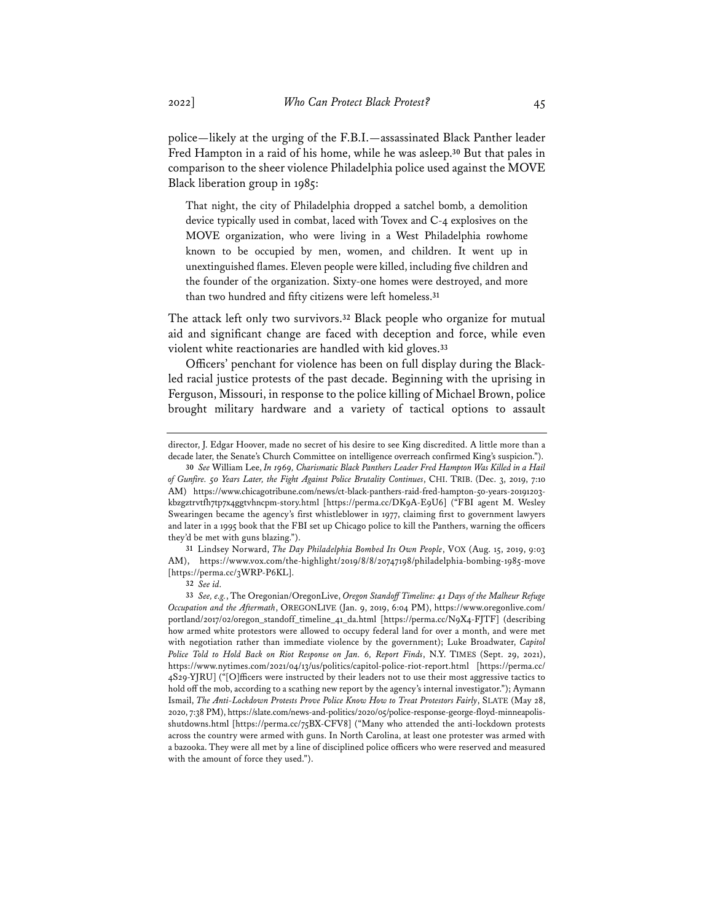police—likely at the urging of the F.B.I.—assassinated Black Panther leader Fred Hampton in a raid of his home, while he was asleep.**<sup>30</sup>** But that pales in comparison to the sheer violence Philadelphia police used against the MOVE Black liberation group in 1985:

That night, the city of Philadelphia dropped a satchel bomb, a demolition device typically used in combat, laced with Tovex and C-4 explosives on the MOVE organization, who were living in a West Philadelphia rowhome known to be occupied by men, women, and children. It went up in unextinguished flames. Eleven people were killed, including five children and the founder of the organization. Sixty-one homes were destroyed, and more than two hundred and fifty citizens were left homeless.**<sup>31</sup>**

The attack left only two survivors.**<sup>32</sup>** Black people who organize for mutual aid and significant change are faced with deception and force, while even violent white reactionaries are handled with kid gloves.**<sup>33</sup>**

Officers' penchant for violence has been on full display during the Blackled racial justice protests of the past decade. Beginning with the uprising in Ferguson, Missouri, in response to the police killing of Michael Brown, police brought military hardware and a variety of tactical options to assault

**31** Lindsey Norward, *The Day Philadelphia Bombed Its Own People*, VOX (Aug. 15, 2019, 9:03 AM), https://www.vox.com/the-highlight/2019/8/8/20747198/philadelphia-bombing-1985-move [https://perma.cc/3WRP-P6KL].

**32** *See id.*

director, J. Edgar Hoover, made no secret of his desire to see King discredited. A little more than a decade later, the Senate's Church Committee on intelligence overreach confirmed King's suspicion.").

**<sup>30</sup>** *See* William Lee, *In 1969, Charismatic Black Panthers Leader Fred Hampton Was Killed in a Hail of Gunfire. 50 Years Later, the Fight Against Police Brutality Continues*, CHI. TRIB. (Dec. 3, 2019, 7:10 AM) https://www.chicagotribune.com/news/ct-black-panthers-raid-fred-hampton-50-years-20191203 kbzgztrvtfh7tp7x4ggtvhncpm-story.html [https://perma.cc/DK9A-E9U6] ("FBI agent M. Wesley Swearingen became the agency's first whistleblower in 1977, claiming first to government lawyers and later in a 1995 book that the FBI set up Chicago police to kill the Panthers, warning the officers they'd be met with guns blazing.").

**<sup>33</sup>** *See, e.g.*, The Oregonian/OregonLive, *Oregon Standoff Timeline: 41 Days of the Malheur Refuge Occupation and the Aftermath*, OREGONLIVE (Jan. 9, 2019, 6:04 PM), https://www.oregonlive.com/ portland/2017/02/oregon\_standoff\_timeline\_41\_da.html [https://perma.cc/N9X4-FJTF] (describing how armed white protestors were allowed to occupy federal land for over a month, and were met with negotiation rather than immediate violence by the government); Luke Broadwater, *Capitol Police Told to Hold Back on Riot Response on Jan. 6, Report Finds*, N.Y. TIMES (Sept. 29, 2021), https://www.nytimes.com/2021/04/13/us/politics/capitol-police-riot-report.html [https://perma.cc/ 4S29-YJRU] ("[O]fficers were instructed by their leaders not to use their most aggressive tactics to hold off the mob, according to a scathing new report by the agency's internal investigator."); Aymann Ismail, *The Anti-Lockdown Protests Prove Police Know How to Treat Protestors Fairly*, SLATE (May 28, 2020, 7:38 PM), https://slate.com/news-and-politics/2020/05/police-response-george-floyd-minneapolisshutdowns.html [https://perma.cc/75BX-CFV8] ("Many who attended the anti-lockdown protests across the country were armed with guns. In North Carolina, at least one protester was armed with a bazooka. They were all met by a line of disciplined police officers who were reserved and measured with the amount of force they used.").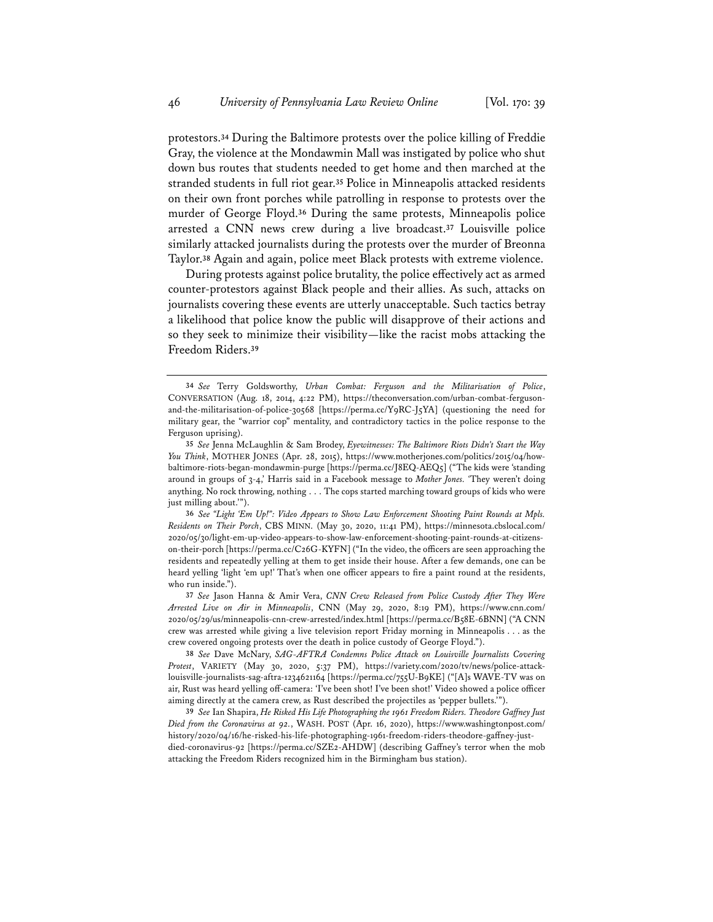protestors.**<sup>34</sup>** During the Baltimore protests over the police killing of Freddie Gray, the violence at the Mondawmin Mall was instigated by police who shut down bus routes that students needed to get home and then marched at the stranded students in full riot gear.**<sup>35</sup>** Police in Minneapolis attacked residents on their own front porches while patrolling in response to protests over the murder of George Floyd.**<sup>36</sup>** During the same protests, Minneapolis police arrested a CNN news crew during a live broadcast.**<sup>37</sup>** Louisville police similarly attacked journalists during the protests over the murder of Breonna Taylor.**<sup>38</sup>** Again and again, police meet Black protests with extreme violence.

During protests against police brutality, the police effectively act as armed counter-protestors against Black people and their allies. As such, attacks on journalists covering these events are utterly unacceptable. Such tactics betray a likelihood that police know the public will disapprove of their actions and so they seek to minimize their visibility—like the racist mobs attacking the Freedom Riders.**<sup>39</sup>**

**<sup>34</sup>** *See* Terry Goldsworthy, *Urban Combat: Ferguson and the Militarisation of Police*, CONVERSATION (Aug. 18, 2014, 4:22 PM), https://theconversation.com/urban-combat-fergusonand-the-militarisation-of-police-30568 [https://perma.cc/Y9RC-J5YA] (questioning the need for military gear, the "warrior cop" mentality, and contradictory tactics in the police response to the Ferguson uprising).

**<sup>35</sup>** *See* Jenna McLaughlin & Sam Brodey, *Eyewitnesses: The Baltimore Riots Didn't Start the Way You Think*, MOTHER JONES (Apr. 28, 2015), https://www.motherjones.com/politics/2015/04/howbaltimore-riots-began-mondawmin-purge [https://perma.cc/J8EQ-AEQ5] ("The kids were 'standing around in groups of 3-4,' Harris said in a Facebook message to *Mother Jones. '*They weren't doing anything. No rock throwing, nothing . . . The cops started marching toward groups of kids who were just milling about.'").

**<sup>36</sup>** *See "Light 'Em Up!": Video Appears to Show Law Enforcement Shooting Paint Rounds at Mpls. Residents on Their Porch*, CBS MINN. (May 30, 2020, 11:41 PM), https://minnesota.cbslocal.com/ 2020/05/30/light-em-up-video-appears-to-show-law-enforcement-shooting-paint-rounds-at-citizenson-their-porch [https://perma.cc/C26G-KYFN] ("In the video, the officers are seen approaching the residents and repeatedly yelling at them to get inside their house. After a few demands, one can be heard yelling 'light 'em up!' That's when one officer appears to fire a paint round at the residents, who run inside.").

**<sup>37</sup>** *See* Jason Hanna & Amir Vera, *CNN Crew Released from Police Custody After They Were Arrested Live on Air in Minneapolis*, CNN (May 29, 2020, 8:19 PM), https://www.cnn.com/ 2020/05/29/us/minneapolis-cnn-crew-arrested/index.html [https://perma.cc/B58E-6BNN] ("A CNN crew was arrested while giving a live television report Friday morning in Minneapolis . . . as the crew covered ongoing protests over the death in police custody of George Floyd.").

**<sup>38</sup>** *See* Dave McNary, *SAG-AFTRA Condemns Police Attack on Louisville Journalists Covering Protest*, VARIETY (May 30, 2020, 5:37 PM), https://variety.com/2020/tv/news/police-attacklouisville-journalists-sag-aftra-1234621164 [https://perma.cc/755U-B9KE] ("[A]s WAVE-TV was on air, Rust was heard yelling off-camera: 'I've been shot! I've been shot!' Video showed a police officer aiming directly at the camera crew, as Rust described the projectiles as 'pepper bullets.'").

**<sup>39</sup>** *See* Ian Shapira, *He Risked His Life Photographing the 1961 Freedom Riders. Theodore Gaffney Just Died from the Coronavirus at 92.*, WASH. POST (Apr. 16, 2020), https://www.washingtonpost.com/ history/2020/04/16/he-risked-his-life-photographing-1961-freedom-riders-theodore-gaffney-justdied-coronavirus-92 [https://perma.cc/SZE2-AHDW] (describing Gaffney's terror when the mob attacking the Freedom Riders recognized him in the Birmingham bus station).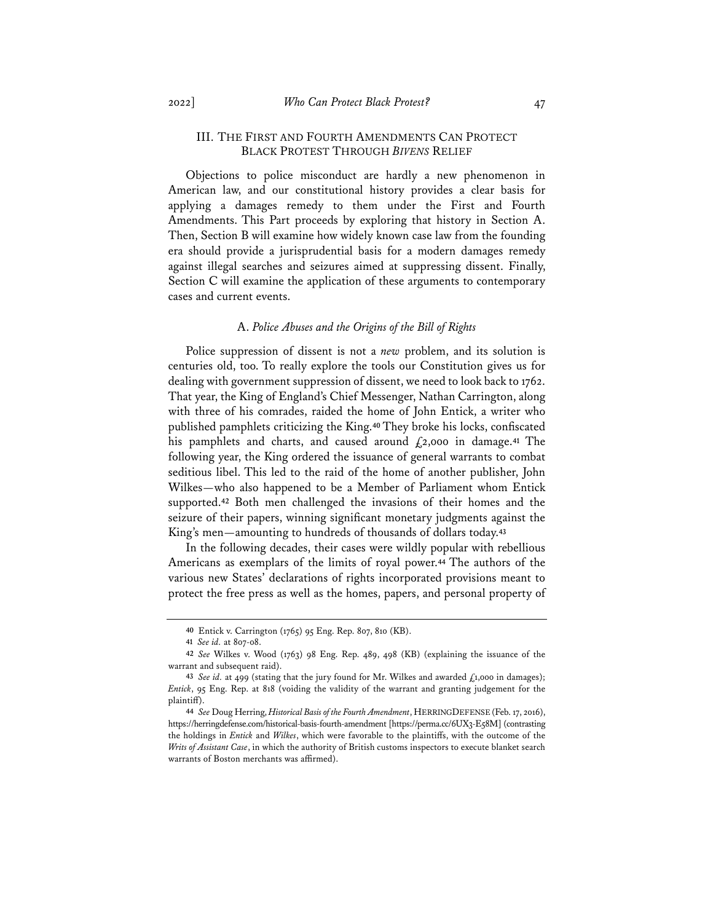## III. THE FIRST AND FOURTH AMENDMENTS CAN PROTECT BLACK PROTEST THROUGH *BIVENS* RELIEF

Objections to police misconduct are hardly a new phenomenon in American law, and our constitutional history provides a clear basis for applying a damages remedy to them under the First and Fourth Amendments. This Part proceeds by exploring that history in Section A. Then, Section B will examine how widely known case law from the founding era should provide a jurisprudential basis for a modern damages remedy against illegal searches and seizures aimed at suppressing dissent. Finally, Section C will examine the application of these arguments to contemporary cases and current events.

### A. *Police Abuses and the Origins of the Bill of Rights*

Police suppression of dissent is not a *new* problem, and its solution is centuries old, too. To really explore the tools our Constitution gives us for dealing with government suppression of dissent, we need to look back to 1762. That year, the King of England's Chief Messenger, Nathan Carrington, along with three of his comrades, raided the home of John Entick, a writer who published pamphlets criticizing the King.**<sup>40</sup>** They broke his locks, confiscated his pamphlets and charts, and caused around £2,000 in damage.**<sup>41</sup>** The following year, the King ordered the issuance of general warrants to combat seditious libel. This led to the raid of the home of another publisher, John Wilkes—who also happened to be a Member of Parliament whom Entick supported.**<sup>42</sup>** Both men challenged the invasions of their homes and the seizure of their papers, winning significant monetary judgments against the King's men—amounting to hundreds of thousands of dollars today.**<sup>43</sup>**

In the following decades, their cases were wildly popular with rebellious Americans as exemplars of the limits of royal power.**<sup>44</sup>** The authors of the various new States' declarations of rights incorporated provisions meant to protect the free press as well as the homes, papers, and personal property of

**<sup>40</sup>** Entick v. Carrington (1765) 95 Eng. Rep. 807, 810 (KB).

**<sup>41</sup>** *See id.* at 807-08.

**<sup>42</sup>** *See* Wilkes v. Wood (1763) 98 Eng. Rep. 489, 498 (KB) (explaining the issuance of the warrant and subsequent raid).

**<sup>43</sup>** *See id.* at 499 (stating that the jury found for Mr. Wilkes and awarded £1,000 in damages); *Entick*, 95 Eng. Rep. at 818 (voiding the validity of the warrant and granting judgement for the plaintiff).

**<sup>44</sup>** *See* Doug Herring, *Historical Basis of the Fourth Amendment*, HERRINGDEFENSE (Feb. 17, 2016), https://herringdefense.com/historical-basis-fourth-amendment [https://perma.cc/6UX3-E58M] (contrasting the holdings in *Entick* and *Wilkes*, which were favorable to the plaintiffs, with the outcome of the *Writs of Assistant Case*, in which the authority of British customs inspectors to execute blanket search warrants of Boston merchants was affirmed).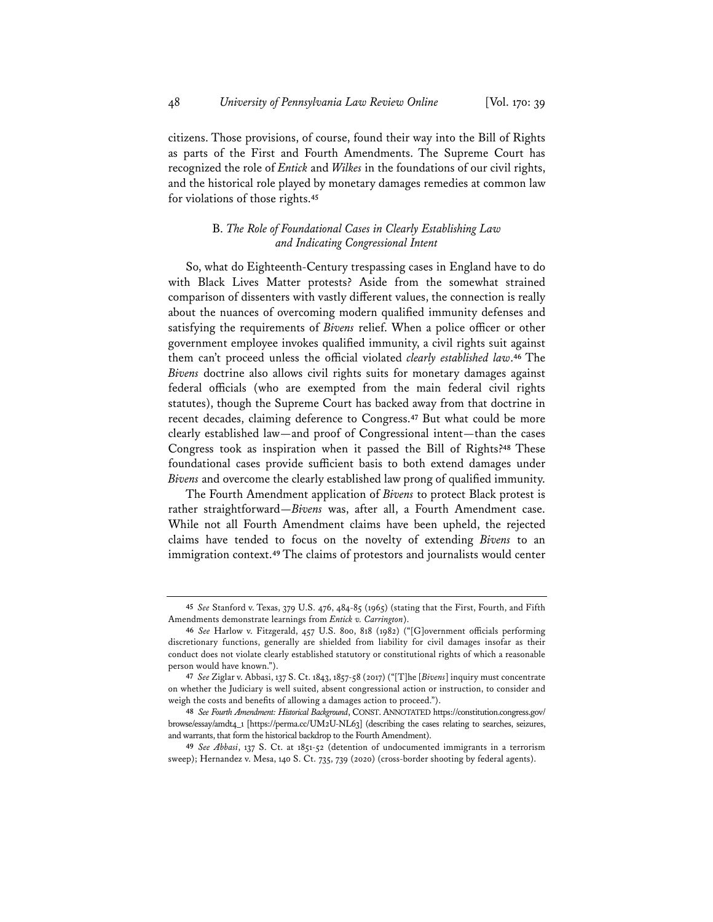citizens. Those provisions, of course, found their way into the Bill of Rights as parts of the First and Fourth Amendments. The Supreme Court has recognized the role of *Entick* and *Wilkes* in the foundations of our civil rights, and the historical role played by monetary damages remedies at common law for violations of those rights.**<sup>45</sup>**

#### B. *The Role of Foundational Cases in Clearly Establishing Law and Indicating Congressional Intent*

So, what do Eighteenth-Century trespassing cases in England have to do with Black Lives Matter protests? Aside from the somewhat strained comparison of dissenters with vastly different values, the connection is really about the nuances of overcoming modern qualified immunity defenses and satisfying the requirements of *Bivens* relief. When a police officer or other government employee invokes qualified immunity, a civil rights suit against them can't proceed unless the official violated *clearly established law*.**<sup>46</sup>** The *Bivens* doctrine also allows civil rights suits for monetary damages against federal officials (who are exempted from the main federal civil rights statutes), though the Supreme Court has backed away from that doctrine in recent decades, claiming deference to Congress.**<sup>47</sup>** But what could be more clearly established law—and proof of Congressional intent—than the cases Congress took as inspiration when it passed the Bill of Rights?**<sup>48</sup>** These foundational cases provide sufficient basis to both extend damages under *Bivens* and overcome the clearly established law prong of qualified immunity.

The Fourth Amendment application of *Bivens* to protect Black protest is rather straightforward—*Bivens* was, after all, a Fourth Amendment case. While not all Fourth Amendment claims have been upheld, the rejected claims have tended to focus on the novelty of extending *Bivens* to an immigration context.**<sup>49</sup>** The claims of protestors and journalists would center

**<sup>45</sup>** *See* Stanford v. Texas, 379 U.S. 476, 484-85 (1965) (stating that the First, Fourth, and Fifth Amendments demonstrate learnings from *Entick v. Carrington*).

**<sup>46</sup>** *See* Harlow v. Fitzgerald, 457 U.S. 800, 818 (1982) ("[G]overnment officials performing discretionary functions, generally are shielded from liability for civil damages insofar as their conduct does not violate clearly established statutory or constitutional rights of which a reasonable person would have known.").

**<sup>47</sup>** *See* Ziglar v. Abbasi, 137 S. Ct. 1843, 1857-58 (2017) ("[T]he [*Bivens*] inquiry must concentrate on whether the Judiciary is well suited, absent congressional action or instruction, to consider and weigh the costs and benefits of allowing a damages action to proceed.").

**<sup>48</sup>** *See Fourth Amendment: Historical Background*, CONST. ANNOTATED https://constitution.congress.gov/ browse/essay/amdt4\_1 [https://perma.cc/UM2U-NL63] (describing the cases relating to searches, seizures, and warrants, that form the historical backdrop to the Fourth Amendment).

**<sup>49</sup>** *See Abbasi*, 137 S. Ct. at 1851-52 (detention of undocumented immigrants in a terrorism sweep); Hernandez v. Mesa, 140 S. Ct. 735, 739 (2020) (cross-border shooting by federal agents).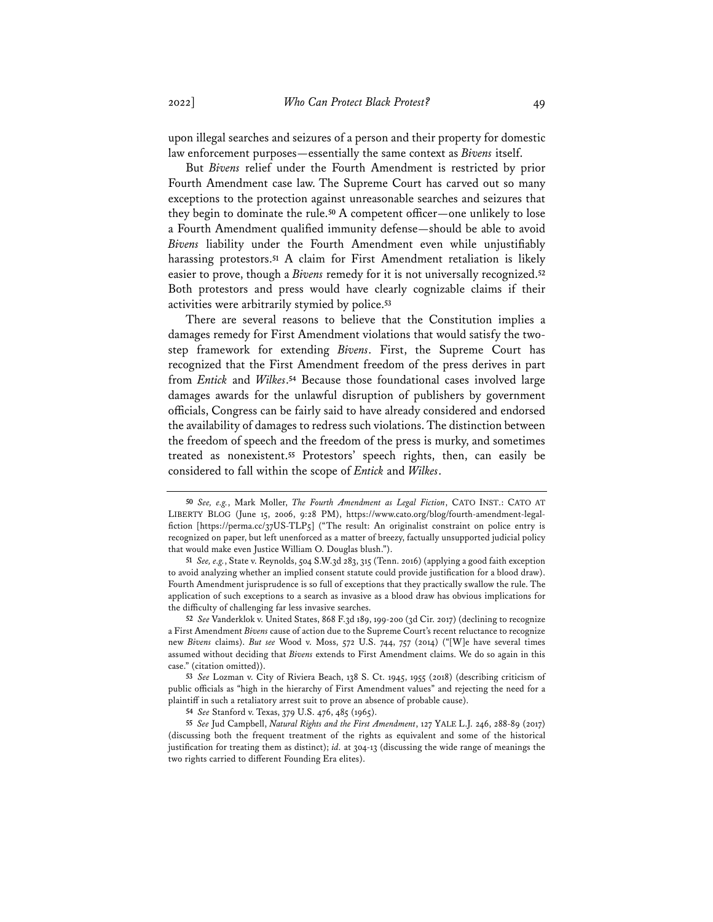upon illegal searches and seizures of a person and their property for domestic law enforcement purposes—essentially the same context as *Bivens* itself.

But *Bivens* relief under the Fourth Amendment is restricted by prior Fourth Amendment case law. The Supreme Court has carved out so many exceptions to the protection against unreasonable searches and seizures that they begin to dominate the rule.**<sup>50</sup>** A competent officer—one unlikely to lose a Fourth Amendment qualified immunity defense—should be able to avoid *Bivens* liability under the Fourth Amendment even while unjustifiably harassing protestors.**<sup>51</sup>** A claim for First Amendment retaliation is likely easier to prove, though a *Bivens* remedy for it is not universally recognized.**<sup>52</sup>** Both protestors and press would have clearly cognizable claims if their activities were arbitrarily stymied by police.**<sup>53</sup>**

There are several reasons to believe that the Constitution implies a damages remedy for First Amendment violations that would satisfy the twostep framework for extending *Bivens*. First, the Supreme Court has recognized that the First Amendment freedom of the press derives in part from *Entick* and *Wilkes*.**<sup>54</sup>** Because those foundational cases involved large damages awards for the unlawful disruption of publishers by government officials, Congress can be fairly said to have already considered and endorsed the availability of damages to redress such violations. The distinction between the freedom of speech and the freedom of the press is murky, and sometimes treated as nonexistent.**<sup>55</sup>** Protestors' speech rights, then, can easily be considered to fall within the scope of *Entick* and *Wilkes*.

**<sup>50</sup>** *See, e.g.*, Mark Moller, *The Fourth Amendment as Legal Fiction*, CATO INST.: CATO AT LIBERTY BLOG (June 15, 2006, 9:28 PM), https://www.cato.org/blog/fourth-amendment-legalfiction [https://perma.cc/37US-TLP5] ("The result: An originalist constraint on police entry is recognized on paper, but left unenforced as a matter of breezy, factually unsupported judicial policy that would make even Justice William O. Douglas blush.").

**<sup>51</sup>** *See, e.g.*, State v. Reynolds, 504 S.W.3d 283, 315 (Tenn. 2016) (applying a good faith exception to avoid analyzing whether an implied consent statute could provide justification for a blood draw). Fourth Amendment jurisprudence is so full of exceptions that they practically swallow the rule. The application of such exceptions to a search as invasive as a blood draw has obvious implications for the difficulty of challenging far less invasive searches.

**<sup>52</sup>** *See* Vanderklok v. United States, 868 F.3d 189, 199-200 (3d Cir. 2017) (declining to recognize a First Amendment *Bivens* cause of action due to the Supreme Court's recent reluctance to recognize new *Bivens* claims). *But see* Wood v. Moss, 572 U.S. 744, 757 (2014) ("[W]e have several times assumed without deciding that *Bivens* extends to First Amendment claims. We do so again in this case." (citation omitted)).

**<sup>53</sup>** *See* Lozman v. City of Riviera Beach, 138 S. Ct. 1945, 1955 (2018) (describing criticism of public officials as "high in the hierarchy of First Amendment values" and rejecting the need for a plaintiff in such a retaliatory arrest suit to prove an absence of probable cause).

**<sup>54</sup>** *See* Stanford v. Texas, 379 U.S. 476, 485 (1965).

**<sup>55</sup>** *See* Jud Campbell, *Natural Rights and the First Amendment*, 127 YALE L.J. 246, 288-89 (2017) (discussing both the frequent treatment of the rights as equivalent and some of the historical justification for treating them as distinct); *id.* at 304-13 (discussing the wide range of meanings the two rights carried to different Founding Era elites).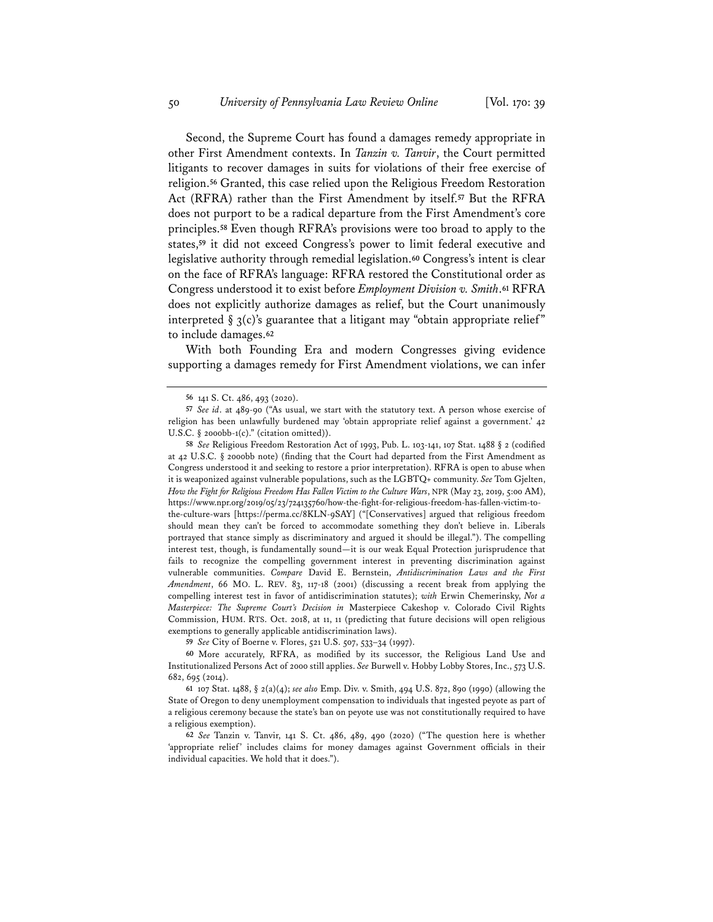Second, the Supreme Court has found a damages remedy appropriate in other First Amendment contexts. In *Tanzin v. Tanvir*, the Court permitted litigants to recover damages in suits for violations of their free exercise of religion.**<sup>56</sup>** Granted, this case relied upon the Religious Freedom Restoration Act (RFRA) rather than the First Amendment by itself.**<sup>57</sup>** But the RFRA does not purport to be a radical departure from the First Amendment's core principles.**<sup>58</sup>** Even though RFRA's provisions were too broad to apply to the states,**<sup>59</sup>** it did not exceed Congress's power to limit federal executive and legislative authority through remedial legislation.**<sup>60</sup>** Congress's intent is clear on the face of RFRA's language: RFRA restored the Constitutional order as Congress understood it to exist before *Employment Division v. Smith*.**<sup>61</sup>** RFRA does not explicitly authorize damages as relief, but the Court unanimously interpreted  $\S 3(c)$ 's guarantee that a litigant may "obtain appropriate relief" to include damages.**<sup>62</sup>**

With both Founding Era and modern Congresses giving evidence supporting a damages remedy for First Amendment violations, we can infer

**58** *See* Religious Freedom Restoration Act of 1993, Pub. L. 103-141, 107 Stat. 1488 § 2 (codified at 42 U.S.C. § 2000bb note) (finding that the Court had departed from the First Amendment as Congress understood it and seeking to restore a prior interpretation). RFRA is open to abuse when it is weaponized against vulnerable populations, such as the LGBTQ+ community. *See* Tom Gjelten, *How the Fight for Religious Freedom Has Fallen Victim to the Culture Wars*, NPR (May 23, 2019, 5:00 AM), https://www.npr.org/2019/05/23/724135760/how-the-fight-for-religious-freedom-has-fallen-victim-to-

the-culture-wars [https://perma.cc/8KLN-9SAY] ("[Conservatives] argued that religious freedom should mean they can't be forced to accommodate something they don't believe in. Liberals portrayed that stance simply as discriminatory and argued it should be illegal."). The compelling interest test, though, is fundamentally sound—it is our weak Equal Protection jurisprudence that fails to recognize the compelling government interest in preventing discrimination against vulnerable communities. *Compare* David E. Bernstein, *Antidiscrimination Laws and the First Amendment*, 66 MO. L. REV. 83, 117-18 (2001) (discussing a recent break from applying the compelling interest test in favor of antidiscrimination statutes); *with* Erwin Chemerinsky, *Not a Masterpiece: The Supreme Court's Decision in* Masterpiece Cakeshop v. Colorado Civil Rights Commission, HUM. RTS. Oct. 2018, at 11, 11 (predicting that future decisions will open religious exemptions to generally applicable antidiscrimination laws).

**59** *See* City of Boerne v. Flores, 521 U.S. 507, 533–34 (1997).

**60** More accurately, RFRA, as modified by its successor, the Religious Land Use and Institutionalized Persons Act of 2000 still applies. *See* Burwell v. Hobby Lobby Stores, Inc., 573 U.S. 682, 695 (2014).

**61** 107 Stat. 1488, § 2(a)(4); *see also* Emp. Div. v. Smith, 494 U.S. 872, 890 (1990) (allowing the State of Oregon to deny unemployment compensation to individuals that ingested peyote as part of a religious ceremony because the state's ban on peyote use was not constitutionally required to have a religious exemption).

**62** *See* Tanzin v. Tanvir, 141 S. Ct. 486, 489, 490 (2020) ("The question here is whether 'appropriate relief' includes claims for money damages against Government officials in their individual capacities. We hold that it does.").

**<sup>56</sup>** 141 S. Ct. 486, 493 (2020).

**<sup>57</sup>** *See id*. at 489-90 ("As usual, we start with the statutory text. A person whose exercise of religion has been unlawfully burdened may 'obtain appropriate relief against a government.' 42 U.S.C.  $\S$  2000bb-1(c)." (citation omitted)).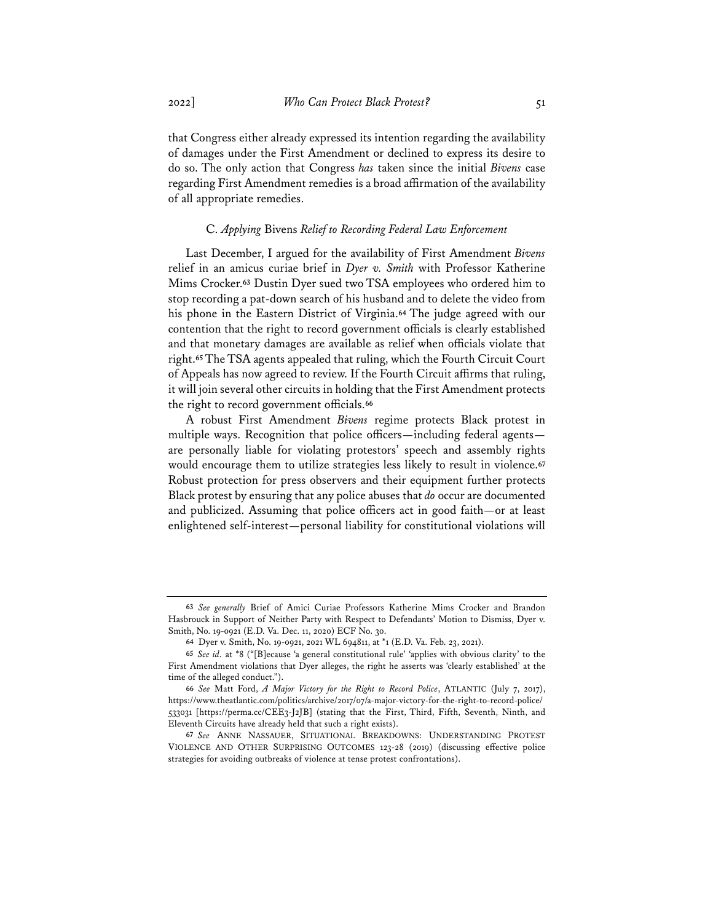that Congress either already expressed its intention regarding the availability of damages under the First Amendment or declined to express its desire to do so. The only action that Congress *has* taken since the initial *Bivens* case regarding First Amendment remedies is a broad affirmation of the availability of all appropriate remedies.

#### C. *Applying* Bivens *Relief to Recording Federal Law Enforcement*

Last December, I argued for the availability of First Amendment *Bivens* relief in an amicus curiae brief in *Dyer v. Smith* with Professor Katherine Mims Crocker.**<sup>63</sup>** Dustin Dyer sued two TSA employees who ordered him to stop recording a pat-down search of his husband and to delete the video from his phone in the Eastern District of Virginia.**<sup>64</sup>** The judge agreed with our contention that the right to record government officials is clearly established and that monetary damages are available as relief when officials violate that right.**<sup>65</sup>** The TSA agents appealed that ruling, which the Fourth Circuit Court of Appeals has now agreed to review. If the Fourth Circuit affirms that ruling, it will join several other circuits in holding that the First Amendment protects the right to record government officials.**<sup>66</sup>**

A robust First Amendment *Bivens* regime protects Black protest in multiple ways. Recognition that police officers—including federal agents are personally liable for violating protestors' speech and assembly rights would encourage them to utilize strategies less likely to result in violence.**<sup>67</sup>** Robust protection for press observers and their equipment further protects Black protest by ensuring that any police abuses that *do* occur are documented and publicized. Assuming that police officers act in good faith—or at least enlightened self-interest—personal liability for constitutional violations will

**<sup>63</sup>** *See generally* Brief of Amici Curiae Professors Katherine Mims Crocker and Brandon Hasbrouck in Support of Neither Party with Respect to Defendants' Motion to Dismiss, Dyer v. Smith, No. 19-0921 (E.D. Va. Dec. 11, 2020) ECF No. 30.

**<sup>64</sup>** Dyer v. Smith, No. 19-0921, 2021 WL 694811, at \*1 (E.D. Va. Feb. 23, 2021).

**<sup>65</sup>** *See id.* at \*8 ("[B]ecause 'a general constitutional rule' 'applies with obvious clarity' to the First Amendment violations that Dyer alleges, the right he asserts was 'clearly established' at the time of the alleged conduct.").

**<sup>66</sup>** *See* Matt Ford, *A Major Victory for the Right to Record Police*, ATLANTIC (July 7, 2017), https://www.theatlantic.com/politics/archive/2017/07/a-major-victory-for-the-right-to-record-police/ 533031 [https://perma.cc/CEE3-J2JB] (stating that the First, Third, Fifth, Seventh, Ninth, and Eleventh Circuits have already held that such a right exists).

**<sup>67</sup>** *See* ANNE NASSAUER, SITUATIONAL BREAKDOWNS: UNDERSTANDING PROTEST VIOLENCE AND OTHER SURPRISING OUTCOMES 123-28 (2019) (discussing effective police strategies for avoiding outbreaks of violence at tense protest confrontations).